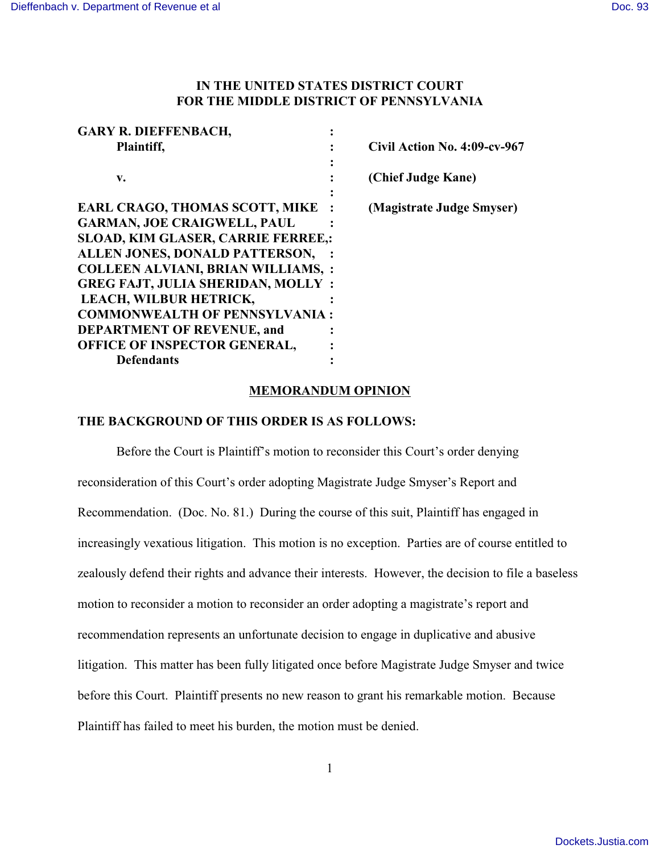## **IN THE UNITED STATES DISTRICT COURT FOR THE MIDDLE DISTRICT OF PENNSYLVANIA**

| <b>GARY R. DIEFFENBACH,</b>               |                              |
|-------------------------------------------|------------------------------|
| Plaintiff,                                | Civil Action No. 4:09-cv-967 |
|                                           |                              |
| v.                                        | (Chief Judge Kane)           |
|                                           |                              |
| <b>EARL CRAGO, THOMAS SCOTT, MIKE</b>     | (Magistrate Judge Smyser)    |
| <b>GARMAN, JOE CRAIGWELL, PAUL</b>        |                              |
| SLOAD, KIM GLASER, CARRIE FERREE,:        |                              |
| ALLEN JONES, DONALD PATTERSON,            |                              |
| <b>COLLEEN ALVIANI, BRIAN WILLIAMS, :</b> |                              |
| <b>GREG FAJT, JULIA SHERIDAN, MOLLY:</b>  |                              |
| LEACH, WILBUR HETRICK,                    |                              |
| <b>COMMONWEALTH OF PENNSYLVANIA:</b>      |                              |
| <b>DEPARTMENT OF REVENUE, and</b>         |                              |
| OFFICE OF INSPECTOR GENERAL,              |                              |
| <b>Defendants</b>                         |                              |

## **MEMORANDUM OPINION**

## **THE BACKGROUND OF THIS ORDER IS AS FOLLOWS:**

Before the Court is Plaintiff's motion to reconsider this Court's order denying reconsideration of this Court's order adopting Magistrate Judge Smyser's Report and Recommendation. (Doc. No. 81.) During the course of this suit, Plaintiff has engaged in increasingly vexatious litigation. This motion is no exception. Parties are of course entitled to zealously defend their rights and advance their interests. However, the decision to file a baseless motion to reconsider a motion to reconsider an order adopting a magistrate's report and recommendation represents an unfortunate decision to engage in duplicative and abusive litigation. This matter has been fully litigated once before Magistrate Judge Smyser and twice before this Court. Plaintiff presents no new reason to grant his remarkable motion. Because Plaintiff has failed to meet his burden, the motion must be denied.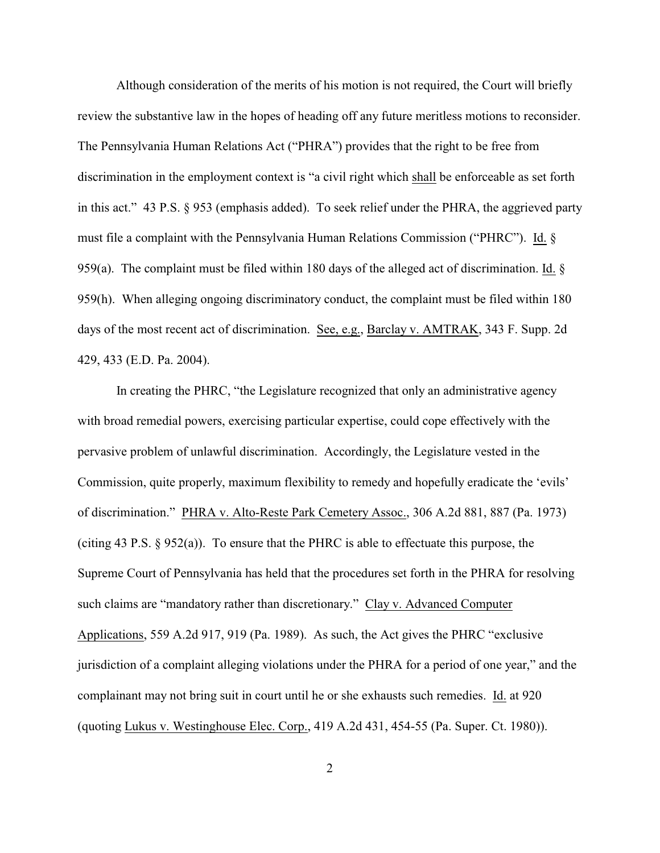Although consideration of the merits of his motion is not required, the Court will briefly review the substantive law in the hopes of heading off any future meritless motions to reconsider. The Pennsylvania Human Relations Act ("PHRA") provides that the right to be free from discrimination in the employment context is "a civil right which shall be enforceable as set forth in this act." 43 P.S. § 953 (emphasis added). To seek relief under the PHRA, the aggrieved party must file a complaint with the Pennsylvania Human Relations Commission ("PHRC"). Id. § 959(a). The complaint must be filed within 180 days of the alleged act of discrimination. Id.  $\S$ 959(h). When alleging ongoing discriminatory conduct, the complaint must be filed within 180 days of the most recent act of discrimination. See, e.g., Barclay v. AMTRAK, 343 F. Supp. 2d 429, 433 (E.D. Pa. 2004).

In creating the PHRC, "the Legislature recognized that only an administrative agency with broad remedial powers, exercising particular expertise, could cope effectively with the pervasive problem of unlawful discrimination. Accordingly, the Legislature vested in the Commission, quite properly, maximum flexibility to remedy and hopefully eradicate the 'evils' of discrimination." PHRA v. Alto-Reste Park Cemetery Assoc., 306 A.2d 881, 887 (Pa. 1973) (citing 43 P.S. § 952(a)). To ensure that the PHRC is able to effectuate this purpose, the Supreme Court of Pennsylvania has held that the procedures set forth in the PHRA for resolving such claims are "mandatory rather than discretionary." Clay v. Advanced Computer Applications, 559 A.2d 917, 919 (Pa. 1989). As such, the Act gives the PHRC "exclusive jurisdiction of a complaint alleging violations under the PHRA for a period of one year," and the complainant may not bring suit in court until he or she exhausts such remedies. Id. at 920 (quoting Lukus v. Westinghouse Elec. Corp., 419 A.2d 431, 454-55 (Pa. Super. Ct. 1980)).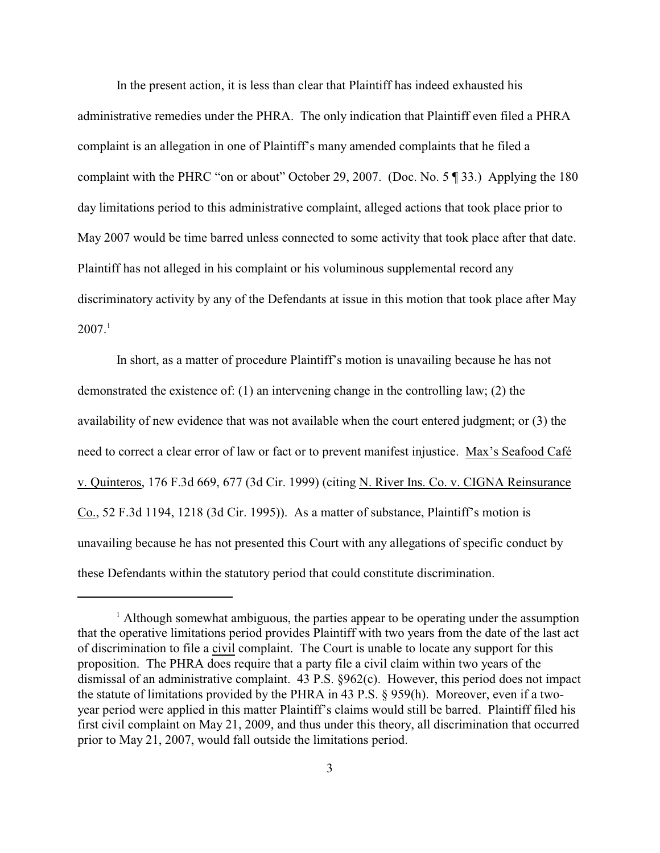In the present action, it is less than clear that Plaintiff has indeed exhausted his administrative remedies under the PHRA. The only indication that Plaintiff even filed a PHRA complaint is an allegation in one of Plaintiff's many amended complaints that he filed a complaint with the PHRC "on or about" October 29, 2007. (Doc. No. 5 ¶ 33.) Applying the 180 day limitations period to this administrative complaint, alleged actions that took place prior to May 2007 would be time barred unless connected to some activity that took place after that date. Plaintiff has not alleged in his complaint or his voluminous supplemental record any discriminatory activity by any of the Defendants at issue in this motion that took place after May  $2007.<sup>1</sup>$ 

In short, as a matter of procedure Plaintiff's motion is unavailing because he has not demonstrated the existence of: (1) an intervening change in the controlling law; (2) the availability of new evidence that was not available when the court entered judgment; or (3) the need to correct a clear error of law or fact or to prevent manifest injustice. Max's Seafood Café v. Quinteros, 176 F.3d 669, 677 (3d Cir. 1999) (citing N. River Ins. Co. v. CIGNA Reinsurance Co., 52 F.3d 1194, 1218 (3d Cir. 1995)). As a matter of substance, Plaintiff's motion is unavailing because he has not presented this Court with any allegations of specific conduct by these Defendants within the statutory period that could constitute discrimination.

<sup>&</sup>lt;sup>1</sup> Although somewhat ambiguous, the parties appear to be operating under the assumption that the operative limitations period provides Plaintiff with two years from the date of the last act of discrimination to file a civil complaint. The Court is unable to locate any support for this proposition. The PHRA does require that a party file a civil claim within two years of the dismissal of an administrative complaint. 43 P.S. §962(c). However, this period does not impact the statute of limitations provided by the PHRA in 43 P.S. § 959(h). Moreover, even if a twoyear period were applied in this matter Plaintiff's claims would still be barred. Plaintiff filed his first civil complaint on May 21, 2009, and thus under this theory, all discrimination that occurred prior to May 21, 2007, would fall outside the limitations period.